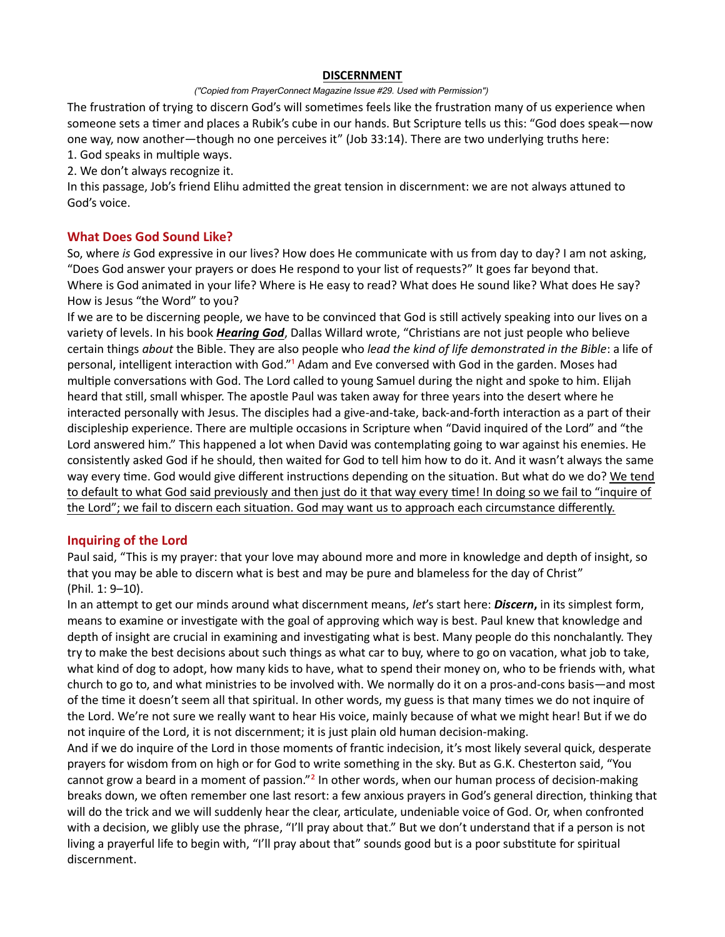### DISCERNMENT

#### ("Copied from PrayerConnect Magazine Issue #29. Used with Permission")

The frustration of trying to discern God's will sometimes feels like the frustration many of us experience when someone sets a timer and places a Rubik's cube in our hands. But Scripture tells us this: "God does speak—now one way, now another—though no one perceives it" (Job 33:14). There are two underlying truths here: 1. God speaks in multiple ways.

2. We don't always recognize it.

In this passage, Job's friend Elihu admitted the great tension in discernment: we are not always attuned to God's voice.

# What Does God Sound Like?

So, where is God expressive in our lives? How does He communicate with us from day to day? I am not asking, "Does God answer your prayers or does He respond to your list of requests?" It goes far beyond that. Where is God animated in your life? Where is He easy to read? What does He sound like? What does He say? How is Jesus "the Word" to you?

If we are to be discerning people, we have to be convinced that God is still actively speaking into our lives on a variety of levels. In his book *Hearing God*, Dallas Willard wrote, "Christians are not just people who believe certain things about the Bible. They are also people who lead the kind of life demonstrated in the Bible: a life of personal, intelligent interaction with God."<sup>1</sup> Adam and Eve conversed with God in the garden. Moses had multiple conversations with God. The Lord called to young Samuel during the night and spoke to him. Elijah heard that still, small whisper. The apostle Paul was taken away for three years into the desert where he interacted personally with Jesus. The disciples had a give-and-take, back-and-forth interaction as a part of their discipleship experience. There are multiple occasions in Scripture when "David inquired of the Lord" and "the Lord answered him." This happened a lot when David was contemplating going to war against his enemies. He consistently asked God if he should, then waited for God to tell him how to do it. And it wasn't always the same way every time. God would give different instructions depending on the situation. But what do we do? We tend to default to what God said previously and then just do it that way every time! In doing so we fail to "inquire of the Lord"; we fail to discern each situation. God may want us to approach each circumstance differently.

# Inquiring of the Lord

Paul said, "This is my prayer: that your love may abound more and more in knowledge and depth of insight, so that you may be able to discern what is best and may be pure and blameless for the day of Christ" (Phil. 1: 9–10).

In an attempt to get our minds around what discernment means, let's start here: Discern, in its simplest form, means to examine or investigate with the goal of approving which way is best. Paul knew that knowledge and depth of insight are crucial in examining and investigating what is best. Many people do this nonchalantly. They try to make the best decisions about such things as what car to buy, where to go on vacation, what job to take, what kind of dog to adopt, how many kids to have, what to spend their money on, who to be friends with, what church to go to, and what ministries to be involved with. We normally do it on a pros-and-cons basis—and most of the time it doesn't seem all that spiritual. In other words, my guess is that many times we do not inquire of the Lord. We're not sure we really want to hear His voice, mainly because of what we might hear! But if we do not inquire of the Lord, it is not discernment; it is just plain old human decision-making.

And if we do inquire of the Lord in those moments of frantic indecision, it's most likely several quick, desperate prayers for wisdom from on high or for God to write something in the sky. But as G.K. Chesterton said, "You cannot grow a beard in a moment of passion."<sup>2</sup> In other words, when our human process of decision-making breaks down, we often remember one last resort: a few anxious prayers in God's general direction, thinking that will do the trick and we will suddenly hear the clear, articulate, undeniable voice of God. Or, when confronted with a decision, we glibly use the phrase, "I'll pray about that." But we don't understand that if a person is not living a prayerful life to begin with, "I'll pray about that" sounds good but is a poor substitute for spiritual discernment.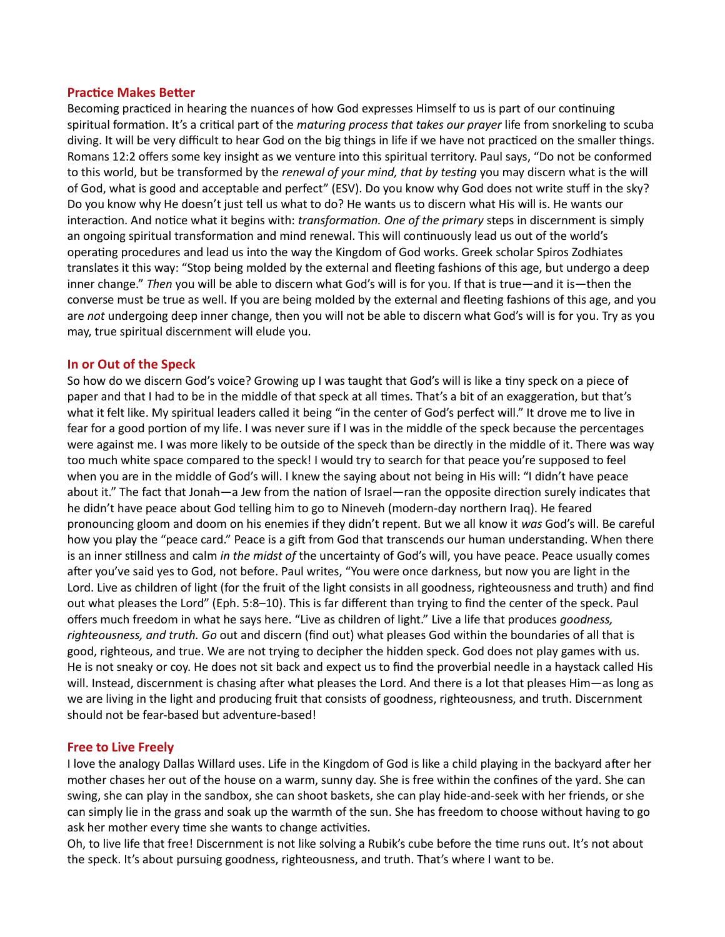### **Practice Makes Better**

Becoming practiced in hearing the nuances of how God expresses Himself to us is part of our continuing spiritual formation. It's a critical part of the *maturing process that takes our prayer* life from snorkeling to scuba diving. It will be very difficult to hear God on the big things in life if we have not practiced on the smaller things. Romans 12:2 offers some key insight as we venture into this spiritual territory. Paul says, "Do not be conformed to this world, but be transformed by the *renewal of your mind, that by testing* you may discern what is the will of God, what is good and acceptable and perfect" (ESV). Do you know why God does not write stuff in the sky? Do you know why He doesn't just tell us what to do? He wants us to discern what His will is. He wants our interaction. And notice what it begins with: transformation. One of the primary steps in discernment is simply an ongoing spiritual transformation and mind renewal. This will continuously lead us out of the world's operating procedures and lead us into the way the Kingdom of God works. Greek scholar Spiros Zodhiates translates it this way: "Stop being molded by the external and fleeting fashions of this age, but undergo a deep inner change." Then you will be able to discern what God's will is for you. If that is true—and it is—then the converse must be true as well. If you are being molded by the external and fleeting fashions of this age, and you are not undergoing deep inner change, then you will not be able to discern what God's will is for you. Try as you may, true spiritual discernment will elude you.

# In or Out of the Speck

So how do we discern God's voice? Growing up I was taught that God's will is like a tiny speck on a piece of paper and that I had to be in the middle of that speck at all times. That's a bit of an exaggeration, but that's what it felt like. My spiritual leaders called it being "in the center of God's perfect will." It drove me to live in fear for a good portion of my life. I was never sure if I was in the middle of the speck because the percentages were against me. I was more likely to be outside of the speck than be directly in the middle of it. There was way too much white space compared to the speck! I would try to search for that peace you're supposed to feel when you are in the middle of God's will. I knew the saying about not being in His will: "I didn't have peace about it." The fact that Jonah—a Jew from the nation of Israel—ran the opposite direction surely indicates that he didn't have peace about God telling him to go to Nineveh (modern-day northern Iraq). He feared pronouncing gloom and doom on his enemies if they didn't repent. But we all know it was God's will. Be careful how you play the "peace card." Peace is a gift from God that transcends our human understanding. When there is an inner stillness and calm in the midst of the uncertainty of God's will, you have peace. Peace usually comes after you've said yes to God, not before. Paul writes, "You were once darkness, but now you are light in the Lord. Live as children of light (for the fruit of the light consists in all goodness, righteousness and truth) and find out what pleases the Lord" (Eph. 5:8–10). This is far different than trying to find the center of the speck. Paul offers much freedom in what he says here. "Live as children of light." Live a life that produces goodness, righteousness, and truth. Go out and discern (find out) what pleases God within the boundaries of all that is good, righteous, and true. We are not trying to decipher the hidden speck. God does not play games with us. He is not sneaky or coy. He does not sit back and expect us to find the proverbial needle in a haystack called His will. Instead, discernment is chasing after what pleases the Lord. And there is a lot that pleases Him—as long as we are living in the light and producing fruit that consists of goodness, righteousness, and truth. Discernment should not be fear-based but adventure-based!

#### Free to Live Freely

I love the analogy Dallas Willard uses. Life in the Kingdom of God is like a child playing in the backyard after her mother chases her out of the house on a warm, sunny day. She is free within the confines of the yard. She can swing, she can play in the sandbox, she can shoot baskets, she can play hide-and-seek with her friends, or she can simply lie in the grass and soak up the warmth of the sun. She has freedom to choose without having to go ask her mother every time she wants to change activities.

Oh, to live life that free! Discernment is not like solving a Rubik's cube before the time runs out. It's not about the speck. It's about pursuing goodness, righteousness, and truth. That's where I want to be.